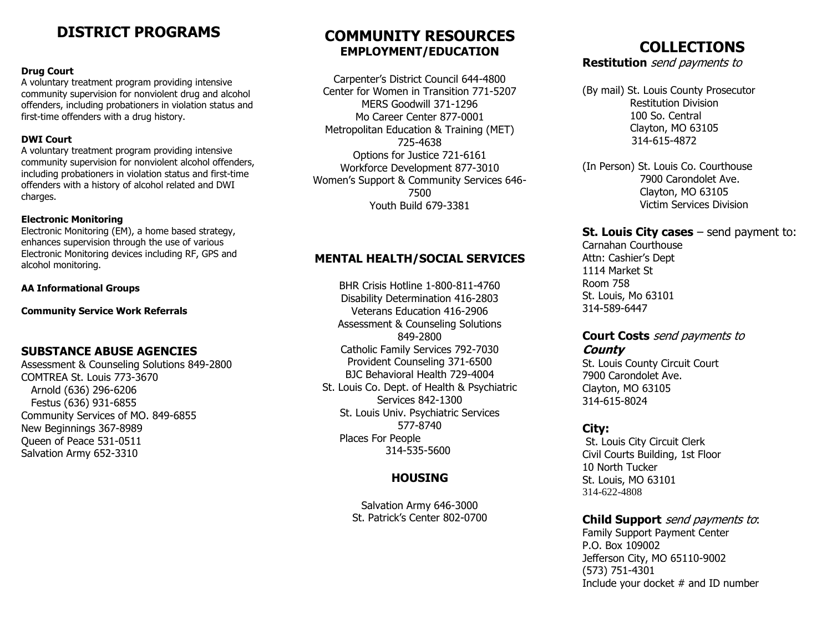# **DISTRICT PROGRAMS**

#### **Drug Court**

A voluntary treatment program providing intensive community supervision for nonviolent drug and alcohol offenders, including probationers in violation status and first-time offenders with a drug history.

#### **DWI Court**

A voluntary treatment program providing intensive community supervision for nonviolent alcohol offenders, including probationers in violation status and first-time offenders with a history of alcohol related and DWI charges.

#### **Electronic Monitoring**

Electronic Monitoring (EM), a home based strategy, enhances supervision through the use of various Electronic Monitoring devices including RF, GPS and alcohol monitoring.

#### **AA Informational Groups**

**Community Service Work Referrals**

#### **SUBSTANCE ABUSE AGENCIES**

Assessment & Counseling Solutions 849-2800 COMTREA St. Louis 773-3670 Arnold (636) 296-6206 Festus (636) 931-6855 Community Services of MO. 849-6855 New Beginnings 367-8989 Queen of Peace 531-0511 Salvation Army 652-3310

# **COMMUNITY RESOURCES EMPLOYMENT/EDUCATION**

Carpenter's District Council 644-4800 Center for Women in Transition 771-5207 MERS Goodwill 371-1296 Mo Career Center 877-0001 Metropolitan Education & Training (MET) 725-4638 Options for Justice 721-6161 Workforce Development 877-3010 Women's Support & Community Services 646- 7500 Youth Build 679-3381

### **MENTAL HEALTH/SOCIAL SERVICES**

BHR Crisis Hotline 1-800-811-4760 Disability Determination 416-2803 Veterans Education 416-2906 Assessment & Counseling Solutions 849-2800 Catholic Family Services 792-7030 Provident Counseling 371-6500 BJC Behavioral Health 729-4004 St. Louis Co. Dept. of Health & Psychiatric Services 842-1300 St. Louis Univ. Psychiatric Services 577-8740 Places For People 314-535-5600

## **HOUSING**

Salvation Army 646-3000 St. Patrick's Center 802-0700

# **COLLECTIONS**

**Restitution** send payments to

(By mail) St. Louis County Prosecutor Restitution Division 100 So. Central Clayton, MO 63105 314-615-4872

(In Person) St. Louis Co. Courthouse 7900 Carondolet Ave. Clayton, MO 63105 Victim Services Division

### **St. Louis City cases** – send payment to:

Carnahan Courthouse Attn: Cashier's Dept 1114 Market St Room 758 St. Louis, Mo 63101 314-589-6447

### **Court Costs** send payments to **County**

St. Louis County Circuit Court 7900 Carondolet Ave. Clayton, MO 63105 314-615-8024

#### **City:**

St. Louis City Circuit Clerk Civil Courts Building, 1st Floor 10 North Tucker St. Louis, MO 63101 314-622-4808

## **Child Support** send payments to:

Family Support Payment Center P.O. Box 109002 Jefferson City, MO 65110-9002 (573) 751-4301 Include your docket  $#$  and ID number